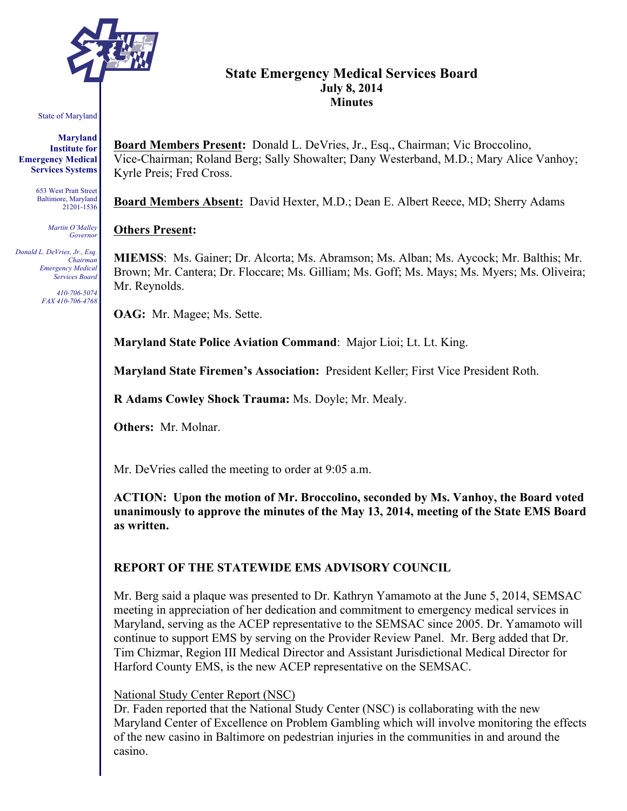

# **State Emergency Medical Services Board July 8, 2014 Minutes**

#### State of Maryland

**Maryland Institute for Emergency Medical Services Systems**

> 653 West Pratt Street Baltimore, Maryland 21201-1536

> > *Martin O'Malley Governor*

*Donald L. DeVries, Jr., Esq. Chairman Emergency Medical Services Board*

> *410-706-5074 FAX 410-706-4768*

**Board Members Present:** Donald L. DeVries, Jr., Esq., Chairman; Vic Broccolino, Vice-Chairman; Roland Berg; Sally Showalter; Dany Westerband, M.D.; Mary Alice Vanhoy; Kyrle Preis; Fred Cross.

**Board Members Absent:** David Hexter, M.D.; Dean E. Albert Reece, MD; Sherry Adams

### **Others Present:**

**MIEMSS**: Ms. Gainer; Dr. Alcorta; Ms. Abramson; Ms. Alban; Ms. Aycock; Mr. Balthis; Mr. Brown; Mr. Cantera; Dr. Floccare; Ms. Gilliam; Ms. Goff; Ms. Mays; Ms. Myers; Ms. Oliveira; Mr. Reynolds.

**OAG:** Mr. Magee; Ms. Sette.

**Maryland State Police Aviation Command**: Major Lioi; Lt. Lt. King.

**Maryland State Firemen's Association:** President Keller; First Vice President Roth.

**R Adams Cowley Shock Trauma:** Ms. Doyle; Mr. Mealy.

**Others:** Mr. Molnar.

Mr. DeVries called the meeting to order at 9:05 a.m.

**ACTION: Upon the motion of Mr. Broccolino, seconded by Ms. Vanhoy, the Board voted unanimously to approve the minutes of the May 13, 2014, meeting of the State EMS Board as written.**

# **REPORT OF THE STATEWIDE EMS ADVISORY COUNCIL**

Mr. Berg said a plaque was presented to Dr. Kathryn Yamamoto at the June 5, 2014, SEMSAC meeting in appreciation of her dedication and commitment to emergency medical services in Maryland, serving as the ACEP representative to the SEMSAC since 2005. Dr. Yamamoto will continue to support EMS by serving on the Provider Review Panel. Mr. Berg added that Dr. Tim Chizmar, Region III Medical Director and Assistant Jurisdictional Medical Director for Harford County EMS, is the new ACEP representative on the SEMSAC.

### National Study Center Report (NSC)

Dr. Faden reported that the National Study Center (NSC) is collaborating with the new Maryland Center of Excellence on Problem Gambling which will involve monitoring the effects of the new casino in Baltimore on pedestrian injuries in the communities in and around the casino.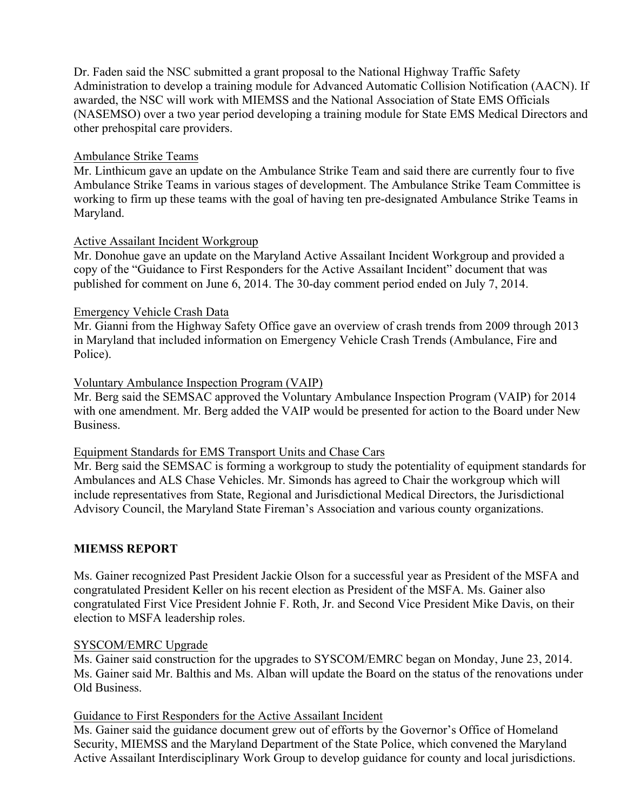Dr. Faden said the NSC submitted a grant proposal to the National Highway Traffic Safety Administration to develop a training module for Advanced Automatic Collision Notification (AACN). If awarded, the NSC will work with MIEMSS and the National Association of State EMS Officials (NASEMSO) over a two year period developing a training module for State EMS Medical Directors and other prehospital care providers.

### Ambulance Strike Teams

Mr. Linthicum gave an update on the Ambulance Strike Team and said there are currently four to five Ambulance Strike Teams in various stages of development. The Ambulance Strike Team Committee is working to firm up these teams with the goal of having ten pre-designated Ambulance Strike Teams in Maryland.

### Active Assailant Incident Workgroup

Mr. Donohue gave an update on the Maryland Active Assailant Incident Workgroup and provided a copy of the "Guidance to First Responders for the Active Assailant Incident" document that was published for comment on June 6, 2014. The 30-day comment period ended on July 7, 2014.

### Emergency Vehicle Crash Data

Mr. Gianni from the Highway Safety Office gave an overview of crash trends from 2009 through 2013 in Maryland that included information on Emergency Vehicle Crash Trends (Ambulance, Fire and Police).

### Voluntary Ambulance Inspection Program (VAIP)

Mr. Berg said the SEMSAC approved the Voluntary Ambulance Inspection Program (VAIP) for 2014 with one amendment. Mr. Berg added the VAIP would be presented for action to the Board under New Business.

### Equipment Standards for EMS Transport Units and Chase Cars

Mr. Berg said the SEMSAC is forming a workgroup to study the potentiality of equipment standards for Ambulances and ALS Chase Vehicles. Mr. Simonds has agreed to Chair the workgroup which will include representatives from State, Regional and Jurisdictional Medical Directors, the Jurisdictional Advisory Council, the Maryland State Fireman's Association and various county organizations.

# **MIEMSS REPORT**

Ms. Gainer recognized Past President Jackie Olson for a successful year as President of the MSFA and congratulated President Keller on his recent election as President of the MSFA. Ms. Gainer also congratulated First Vice President Johnie F. Roth, Jr. and Second Vice President Mike Davis, on their election to MSFA leadership roles.

### SYSCOM/EMRC Upgrade

Ms. Gainer said construction for the upgrades to SYSCOM/EMRC began on Monday, June 23, 2014. Ms. Gainer said Mr. Balthis and Ms. Alban will update the Board on the status of the renovations under Old Business.

### Guidance to First Responders for the Active Assailant Incident

Ms. Gainer said the guidance document grew out of efforts by the Governor's Office of Homeland Security, MIEMSS and the Maryland Department of the State Police, which convened the Maryland Active Assailant Interdisciplinary Work Group to develop guidance for county and local jurisdictions.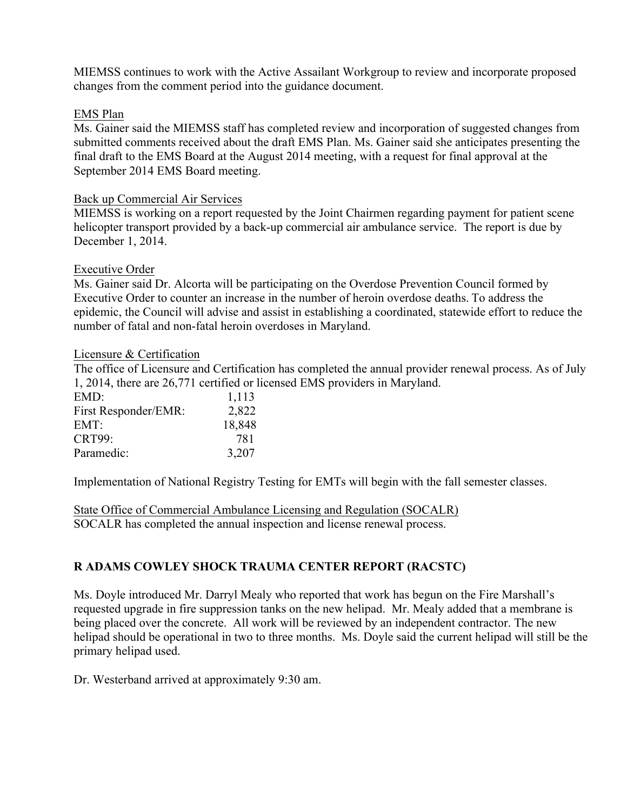MIEMSS continues to work with the Active Assailant Workgroup to review and incorporate proposed changes from the comment period into the guidance document.

### EMS Plan

Ms. Gainer said the MIEMSS staff has completed review and incorporation of suggested changes from submitted comments received about the draft EMS Plan. Ms. Gainer said she anticipates presenting the final draft to the EMS Board at the August 2014 meeting, with a request for final approval at the September 2014 EMS Board meeting.

### Back up Commercial Air Services

MIEMSS is working on a report requested by the Joint Chairmen regarding payment for patient scene helicopter transport provided by a back-up commercial air ambulance service. The report is due by December 1, 2014.

### Executive Order

Ms. Gainer said Dr. Alcorta will be participating on the Overdose Prevention Council formed by Executive Order to counter an increase in the number of heroin overdose deaths. To address the epidemic, the Council will advise and assist in establishing a coordinated, statewide effort to reduce the number of fatal and non-fatal heroin overdoses in Maryland.

### Licensure & Certification

The office of Licensure and Certification has completed the annual provider renewal process. As of July 1, 2014, there are 26,771 certified or licensed EMS providers in Maryland.

| EMD:                 | 1,113  |
|----------------------|--------|
| First Responder/EMR: | 2,822  |
| EMT:                 | 18,848 |
| <b>CRT99:</b>        | 781    |
| Paramedic:           | 3,207  |

Implementation of National Registry Testing for EMTs will begin with the fall semester classes.

State Office of Commercial Ambulance Licensing and Regulation (SOCALR) SOCALR has completed the annual inspection and license renewal process.

# **R ADAMS COWLEY SHOCK TRAUMA CENTER REPORT (RACSTC)**

Ms. Doyle introduced Mr. Darryl Mealy who reported that work has begun on the Fire Marshall's requested upgrade in fire suppression tanks on the new helipad. Mr. Mealy added that a membrane is being placed over the concrete. All work will be reviewed by an independent contractor. The new helipad should be operational in two to three months. Ms. Doyle said the current helipad will still be the primary helipad used.

Dr. Westerband arrived at approximately 9:30 am.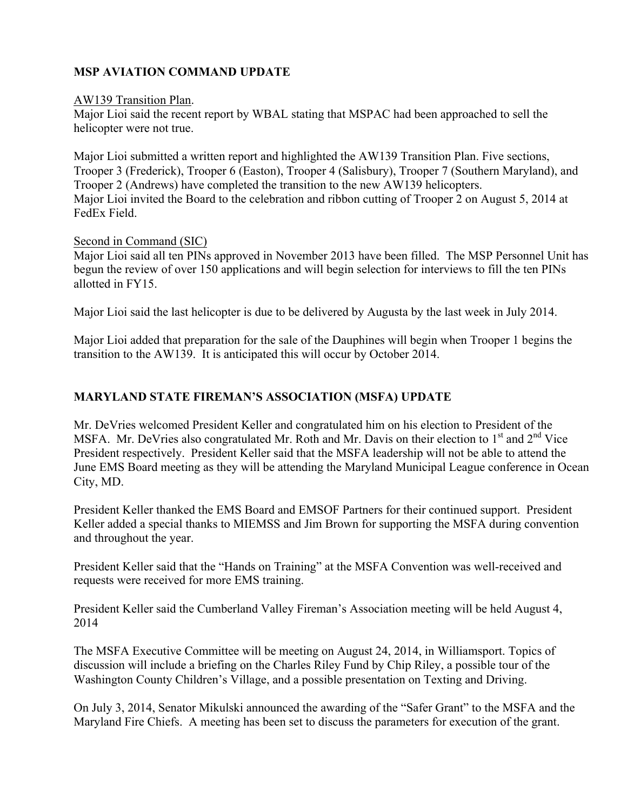# **MSP AVIATION COMMAND UPDATE**

### AW139 Transition Plan.

Major Lioi said the recent report by WBAL stating that MSPAC had been approached to sell the helicopter were not true.

Major Lioi submitted a written report and highlighted the AW139 Transition Plan. Five sections, Trooper 3 (Frederick), Trooper 6 (Easton), Trooper 4 (Salisbury), Trooper 7 (Southern Maryland), and Trooper 2 (Andrews) have completed the transition to the new AW139 helicopters. Major Lioi invited the Board to the celebration and ribbon cutting of Trooper 2 on August 5, 2014 at FedEx Field.

### Second in Command (SIC)

Major Lioi said all ten PINs approved in November 2013 have been filled. The MSP Personnel Unit has begun the review of over 150 applications and will begin selection for interviews to fill the ten PINs allotted in FY15.

Major Lioi said the last helicopter is due to be delivered by Augusta by the last week in July 2014.

Major Lioi added that preparation for the sale of the Dauphines will begin when Trooper 1 begins the transition to the AW139. It is anticipated this will occur by October 2014.

# **MARYLAND STATE FIREMAN'S ASSOCIATION (MSFA) UPDATE**

Mr. DeVries welcomed President Keller and congratulated him on his election to President of the MSFA. Mr. DeVries also congratulated Mr. Roth and Mr. Davis on their election to  $1<sup>st</sup>$  and  $2<sup>nd</sup>$  Vice President respectively. President Keller said that the MSFA leadership will not be able to attend the June EMS Board meeting as they will be attending the Maryland Municipal League conference in Ocean City, MD.

President Keller thanked the EMS Board and EMSOF Partners for their continued support. President Keller added a special thanks to MIEMSS and Jim Brown for supporting the MSFA during convention and throughout the year.

President Keller said that the "Hands on Training" at the MSFA Convention was well-received and requests were received for more EMS training.

President Keller said the Cumberland Valley Fireman's Association meeting will be held August 4, 2014

The MSFA Executive Committee will be meeting on August 24, 2014, in Williamsport. Topics of discussion will include a briefing on the Charles Riley Fund by Chip Riley, a possible tour of the Washington County Children's Village, and a possible presentation on Texting and Driving.

On July 3, 2014, Senator Mikulski announced the awarding of the "Safer Grant" to the MSFA and the Maryland Fire Chiefs. A meeting has been set to discuss the parameters for execution of the grant.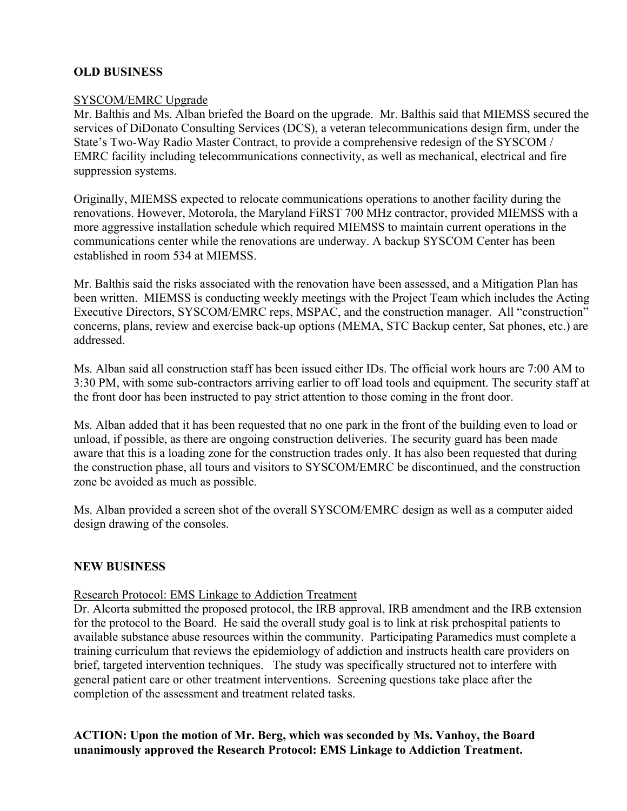# **OLD BUSINESS**

# SYSCOM/EMRC Upgrade

Mr. Balthis and Ms. Alban briefed the Board on the upgrade. Mr. Balthis said that MIEMSS secured the services of DiDonato Consulting Services (DCS), a veteran telecommunications design firm, under the State's Two-Way Radio Master Contract, to provide a comprehensive redesign of the SYSCOM / EMRC facility including telecommunications connectivity, as well as mechanical, electrical and fire suppression systems.

Originally, MIEMSS expected to relocate communications operations to another facility during the renovations. However, Motorola, the Maryland FiRST 700 MHz contractor, provided MIEMSS with a more aggressive installation schedule which required MIEMSS to maintain current operations in the communications center while the renovations are underway. A backup SYSCOM Center has been established in room 534 at MIEMSS.

Mr. Balthis said the risks associated with the renovation have been assessed, and a Mitigation Plan has been written. MIEMSS is conducting weekly meetings with the Project Team which includes the Acting Executive Directors, SYSCOM/EMRC reps, MSPAC, and the construction manager. All "construction" concerns, plans, review and exercise back-up options (MEMA, STC Backup center, Sat phones, etc.) are addressed.

Ms. Alban said all construction staff has been issued either IDs. The official work hours are 7:00 AM to 3:30 PM, with some sub-contractors arriving earlier to off load tools and equipment. The security staff at the front door has been instructed to pay strict attention to those coming in the front door.

Ms. Alban added that it has been requested that no one park in the front of the building even to load or unload, if possible, as there are ongoing construction deliveries. The security guard has been made aware that this is a loading zone for the construction trades only. It has also been requested that during the construction phase, all tours and visitors to SYSCOM/EMRC be discontinued, and the construction zone be avoided as much as possible.

Ms. Alban provided a screen shot of the overall SYSCOM/EMRC design as well as a computer aided design drawing of the consoles.

# **NEW BUSINESS**

### Research Protocol: EMS Linkage to Addiction Treatment

Dr. Alcorta submitted the proposed protocol, the IRB approval, IRB amendment and the IRB extension for the protocol to the Board. He said the overall study goal is to link at risk prehospital patients to available substance abuse resources within the community. Participating Paramedics must complete a training curriculum that reviews the epidemiology of addiction and instructs health care providers on brief, targeted intervention techniques. The study was specifically structured not to interfere with general patient care or other treatment interventions. Screening questions take place after the completion of the assessment and treatment related tasks.

### **ACTION: Upon the motion of Mr. Berg, which was seconded by Ms. Vanhoy, the Board unanimously approved the Research Protocol: EMS Linkage to Addiction Treatment.**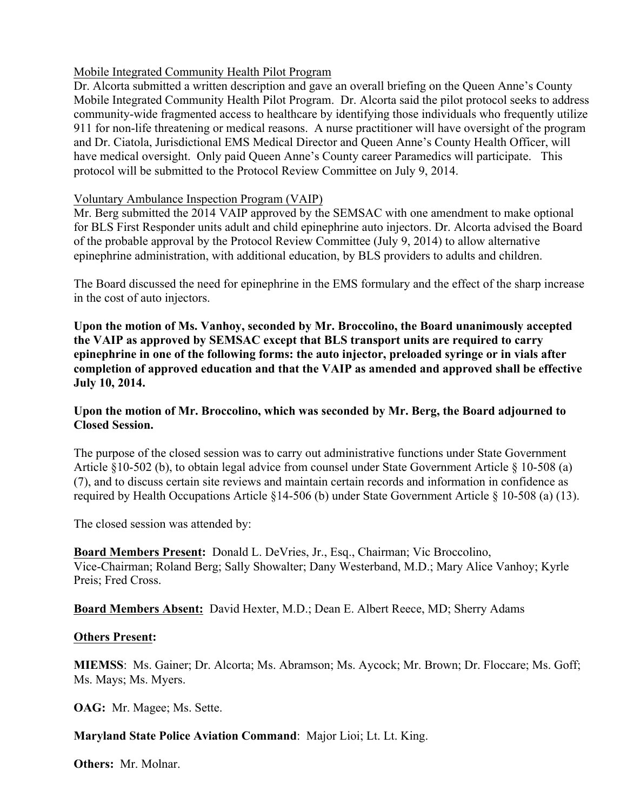# Mobile Integrated Community Health Pilot Program

Dr. Alcorta submitted a written description and gave an overall briefing on the Queen Anne's County Mobile Integrated Community Health Pilot Program. Dr. Alcorta said the pilot protocol seeks to address community-wide fragmented access to healthcare by identifying those individuals who frequently utilize 911 for non-life threatening or medical reasons. A nurse practitioner will have oversight of the program and Dr. Ciatola, Jurisdictional EMS Medical Director and Queen Anne's County Health Officer, will have medical oversight. Only paid Queen Anne's County career Paramedics will participate. This protocol will be submitted to the Protocol Review Committee on July 9, 2014.

### Voluntary Ambulance Inspection Program (VAIP)

Mr. Berg submitted the 2014 VAIP approved by the SEMSAC with one amendment to make optional for BLS First Responder units adult and child epinephrine auto injectors. Dr. Alcorta advised the Board of the probable approval by the Protocol Review Committee (July 9, 2014) to allow alternative epinephrine administration, with additional education, by BLS providers to adults and children.

The Board discussed the need for epinephrine in the EMS formulary and the effect of the sharp increase in the cost of auto injectors.

**Upon the motion of Ms. Vanhoy, seconded by Mr. Broccolino, the Board unanimously accepted the VAIP as approved by SEMSAC except that BLS transport units are required to carry epinephrine in one of the following forms: the auto injector, preloaded syringe or in vials after completion of approved education and that the VAIP as amended and approved shall be effective July 10, 2014.**

# **Upon the motion of Mr. Broccolino, which was seconded by Mr. Berg, the Board adjourned to Closed Session.**

The purpose of the closed session was to carry out administrative functions under State Government Article §10-502 (b), to obtain legal advice from counsel under State Government Article § 10-508 (a) (7), and to discuss certain site reviews and maintain certain records and information in confidence as required by Health Occupations Article §14-506 (b) under State Government Article § 10-508 (a) (13).

The closed session was attended by:

**Board Members Present:** Donald L. DeVries, Jr., Esq., Chairman; Vic Broccolino, Vice-Chairman; Roland Berg; Sally Showalter; Dany Westerband, M.D.; Mary Alice Vanhoy; Kyrle Preis; Fred Cross.

**Board Members Absent:** David Hexter, M.D.; Dean E. Albert Reece, MD; Sherry Adams

### **Others Present:**

**MIEMSS**: Ms. Gainer; Dr. Alcorta; Ms. Abramson; Ms. Aycock; Mr. Brown; Dr. Floccare; Ms. Goff; Ms. Mays; Ms. Myers.

**OAG:** Mr. Magee; Ms. Sette.

# **Maryland State Police Aviation Command**: Major Lioi; Lt. Lt. King.

**Others:** Mr. Molnar.